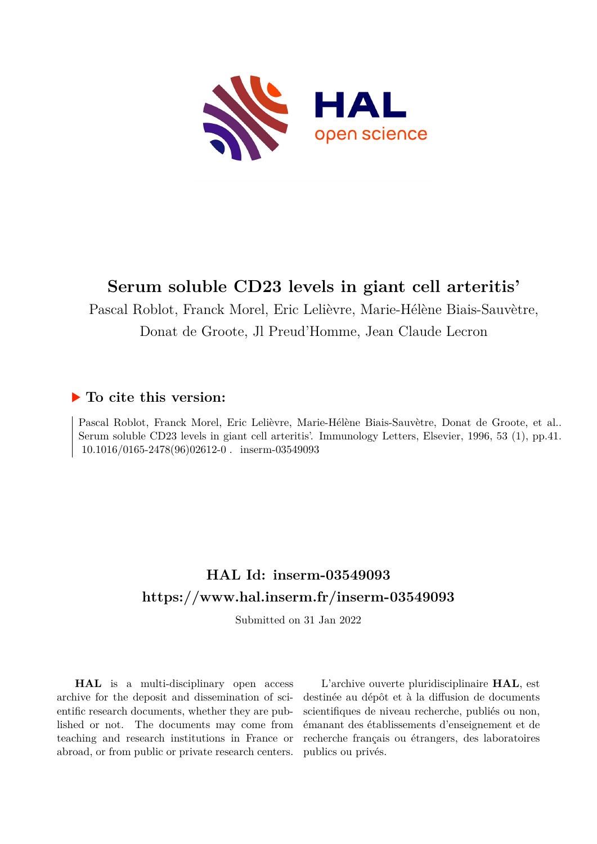

# **Serum soluble CD23 levels in giant cell arteritis'**

Pascal Roblot, Franck Morel, Eric Lelièvre, Marie-Hélène Biais-Sauvètre, Donat de Groote, Jl Preud'Homme, Jean Claude Lecron

### **To cite this version:**

Pascal Roblot, Franck Morel, Eric Lelièvre, Marie-Hélène Biais-Sauvètre, Donat de Groote, et al.. Serum soluble CD23 levels in giant cell arteritis'. Immunology Letters, Elsevier, 1996, 53 (1), pp.41.  $10.1016/0165-2478(96)02612-0$ . inserm-03549093

# **HAL Id: inserm-03549093 <https://www.hal.inserm.fr/inserm-03549093>**

Submitted on 31 Jan 2022

**HAL** is a multi-disciplinary open access archive for the deposit and dissemination of scientific research documents, whether they are published or not. The documents may come from teaching and research institutions in France or abroad, or from public or private research centers.

L'archive ouverte pluridisciplinaire **HAL**, est destinée au dépôt et à la diffusion de documents scientifiques de niveau recherche, publiés ou non, émanant des établissements d'enseignement et de recherche français ou étrangers, des laboratoires publics ou privés.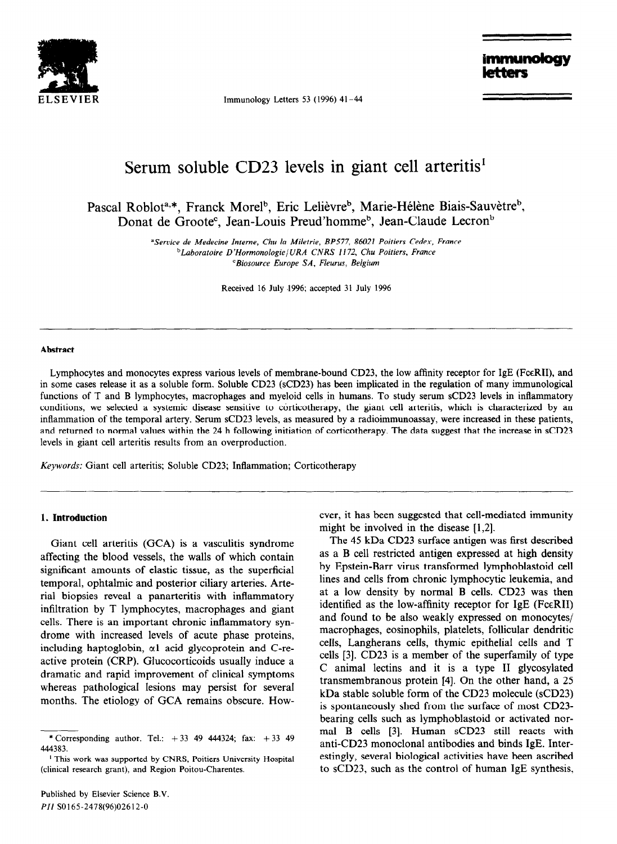

Immunology Letters 53 (1996)  $41-44$ 

immuno

## Serum soluble CD23 levels in giant cell arteritis'

Pascal Roblot<sup>a,\*</sup>, Franck Morel<sup>b</sup>, Eric Lelièvre<sup>b</sup>, Marie-Hélène Biais-Sauvètre<sup>b</sup>, Donat de Groote<sup>c</sup>, Jean-Louis Preud'homme<sup>b</sup>, Jean-Claude Lecron<sup>b</sup>

> *"Service de Medecine Interne, Chu la Miletrie, BP577, 86021 Poitiers Cedex, France bLaboratoire D'HormonologielURA CNRS I 172, Chu Poitiers, France 'Biosource Europe SA, Fleurus, Belgium*

> > Received 16 July .1996; accepted 31 July 1996

#### **Abstract**

Lymphocytes and monocytes express various levels of membrane-bound CD23, the low affinity receptor for IgE (FceRII), and in some cases release it as a soluble form. Soluble CD23 (sCD23) has been implicated in the regulation of many immunological functions of T and B lymphocytes, macrophages and myeloid cells in humans. To study serum sCD23 levels in inflammatory conditions, we selected a systemic disease sensitive to corticotherapy, the giant cell arteritis, which is characterized by an inflammation of the temporal artery. Serum sCD23 levels, as measured by a radioimmunoassay, were increased in these patients, and returned to normal values within the 24 h following initiation of corticotherapy. The data suggest that the increase in sCD23 levels in giant cell arteritis results from an overproduction.

*Keywords:* Giant cell arteritis; Soluble CD23; Inflammation; Corticotherapy

#### **1. Introduction**

Giant cell arteritis (GCA) is a vasculitis syndrome affecting the blood vessels, the walls of which contain significant amounts of elastic tissue, as the superficial temporal, ophtalmic and posterior ciliary arteries. Arterial biopsies reveal a panarteritis with inflammatory infiltration by T lymphocytes, macrophages and giant cells. There is an important chronic inflammatory syndrome with increased levels of acute phase proteins, including haptoglobin, al acid glycoprotein and C-reactive protein (CRP). Glucocorticoids usually induce a dramatic and rapid improvement of clinical symptoms whereas pathological lesions may persist for several months. The etiology of GCA remains obscure. However, it has been suggested that cell-mediated immunity might be involved in the disease [1,2].

The 45 kDa CD23 surface antigen was first described as a B cell restricted antigen expressed at high density by Epstein-Barr virus transformed lymphoblastoid cell lines and cells from chronic lymphocytic leukemia, and at a low density by normal B cells. CD23 was then identified as the low-affinity receptor for  $IgE$  (Fc $\epsilon$ RII) and found to be also weakly expressed on monocytes/ macrophages, eosinophils, platelets, follicular dendritic cells, Langherans cells, thymic epithelial cells and T cells [3]. CD23 is a member of the superfamily of type C animal lectins and it is a type II glycosylated transmembranous protein [4]. On the other hand, a 25 kDa stable soluble form of the CD23 molecule (sCD23) is spontaneously shed from the surface of most CD23 bearing cells such as lymphoblastoid or activated normal B cells [3]. Human sCD23 still reacts with anti-CD23 monoclonal antibodies and binds IgE. Interestingly, several biological activities have been ascribed to sCD23, such as the control of human IgE synthesis,

<sup>\*</sup> Corresponding author. Tel.:  $+33$  49 444324; fax:  $+33$  49 444383.

<sup>&#</sup>x27; This work was supported by CNRS, Poitiers University Hospital (clinical research grant), and Region Poitou-Charentes.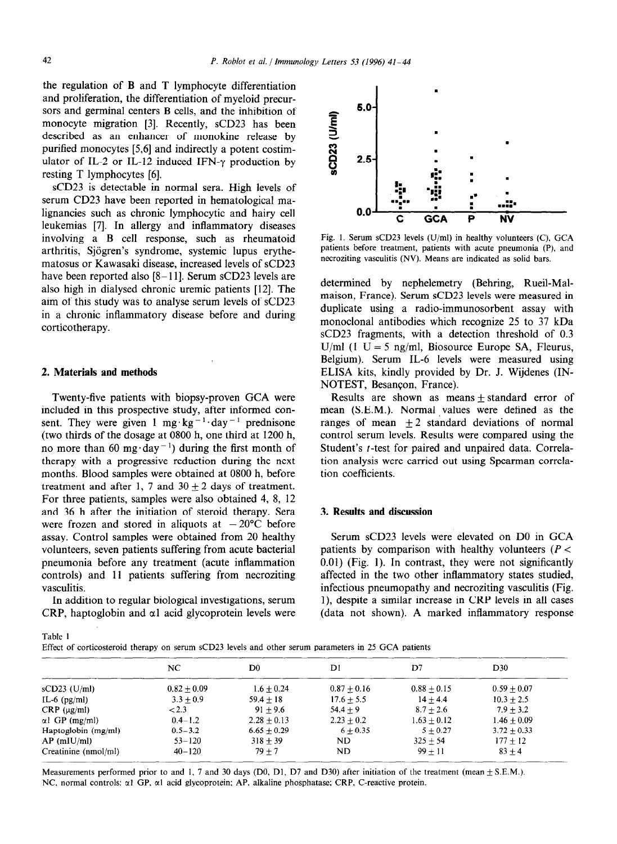the regulation of B and T lymphocyte differentiation and proliferation, the differentiation of myeloid precursors and germinal centers B cells, and the inhibition of monocyte migration [3]. Recently, sCD23 has been described as an enhancer of monokine release by purified monocytes [5,6] and indirectly a potent costimulator of IL-2 or IL-12 induced IFN- $\gamma$  production by resting T lymphocytes [6].

sCD23 is detectable in normal sera. High levels of serum CD23 have been reported in hematological malignancies such as chronic lymphocytic and hairy cell leukemias [7]. In allergy and inflammatory diseases involving a B cell response, such as rheumatoid arthritis, Sjogren's syndrome, systemic lupus erythematosus or Kawasaki disease, increased levels of sCD23 have been reported also  $[8-11]$ . Serum sCD23 levels are also high in dialysed chronic uremic patients [12]. The aim of this study was to analyse serum levels of sCD23 in a chronic inflammatory disease before and during corticotherapy.

#### 2. **Materials and methods**

Twenty-five patients with biopsy-proven GCA were included in this prospective study, after informed consent. They were given 1 mg  $kg^{-1}$  day<sup>-1</sup> prednisone (two thirds of the dosage at 0800 h, one third at 1200 h, no more than 60 mg·day<sup>-1</sup>) during the first month of therapy with a progressive reduction during the next months. Blood samples were obtained at 0800 h, before treatment and after 1, 7 and  $30 \pm 2$  days of treatment. For three patients, samples were also obtained 4, 8, 12 and 36 h after the initiation of steroid therapy. Sera were frozen and stored in aliquots at  $-20^{\circ}$ C before assay. Control samples were obtained from 20 healthy volunteers, seven patients suffering from acute bacterial pneumonia before any treatment (acute inflammation controls) and 11 patients suffering from necroziting vasculitis.

In addition to regular biological investigations, serum CRP, haptoglobin and  $\alpha$ l acid glycoprotein levels were



Fig. 1. Serum *sCD23 levels* (U/ml) in healthy volunteers (C), GCA patients before treatment, patients with acute pneumonia (P), and necroziting vasculitis (NV). Means are indicated as solid bars.

determined by nephelemetry (Behring, Rueil-Malmaison, France). Serum sCD23 levels were measured in duplicate using a radio-immunosorbent assay with monoclonal antibodies which recognize 25 to 37 kDa sCD23 fragments, with a detection threshold of 0.3 U/ml (1 U = 5 ng/ml, Biosource Europe SA, Fleurus, Belgium). Serum IL-6 levels were measured using ELISA kits, kindly provided by Dr. J. Wijdenes (IN-NOTEST, Besancon, France).

Results are shown as means  $\pm$  standard error of mean (S.E.M.). Normal values were defined as the ranges of mean  $\pm 2$  standard deviations of normal control serum levels. Results were compared using the Student's t-test for paired and unpaired data. Correlation analysis were carried out using Spearman correlation coefficients.

#### 3. **Results and discussion**

Serum sCD23 levels were elevated on DO in GCA patients by comparison with healthy volunteers ( $P <$ 0.01) (Fig. 1). In contrast, they were not significantly affected in the two other inflammatory states studied, infectious pneumopathy and necroziting vasculitis (Fig. l), despite a similar increase in CRP levels in all cases (data not shown). A marked inflammatory response

Table I

Effect of corticosteroid therapy on serum sCD23 levels and other serum parameters in 25 GCA patients

|                       | NC            | D0            | D1            | D7              | D <sub>30</sub> |  |
|-----------------------|---------------|---------------|---------------|-----------------|-----------------|--|
| $sCD23$ (U/ml)        | $0.82 + 0.09$ | $1.6 + 0.24$  | $0.87 + 0.16$ | $0.88 + 0.15$   | $0.59 + 0.07$   |  |
| $IL-6$ (pg/ml)        | $3.3 + 0.9$   | $59.4 + 18$   | $17.6 + 5.5$  | $14 + 4.4$      | $10.3 + 2.5$    |  |
| $CRP$ ( $\mu$ g/ml)   | < 2.3         | $91 + 9.6$    | $54.4 + 9$    | $8.7 + 2.6$     | $7.9 + 3.2$     |  |
| $\alpha$ l GP (mg/ml) | $0.4 - 1.2$   | $2.28 + 0.13$ | $2.23 + 0.2$  | $1.63 \pm 0.12$ | $1.46 + 0.09$   |  |
| Haptoglobin $(mg/ml)$ | $0.5 - 3.2$   | $6.65 + 0.29$ | $6 + 0.35$    | $5 + 0.27$      | $3.72 + 0.33$   |  |
| $AP$ (mIU/ml)         | $53 - 120$    | $318 + 39$    | ND            | $325 + 54$      | $177 + 12$      |  |
| Creatinine (nmol/ml)  | $40 - 120$    | $79 + 7$      | ND            | $99 + 11$       | $83 + 4$        |  |
|                       |               |               |               |                 |                 |  |

Measurements performed prior to and 1, 7 and 30 days (D0, D1, D7 and D30) after initiation of the treatment (mean  $\pm$  S.E.M.). NC, normal controls;  $\alpha$ 1 GP,  $\alpha$ 1 acid glycoprotein; AP, alkaline phosphatase; CRP, C-reactive protein.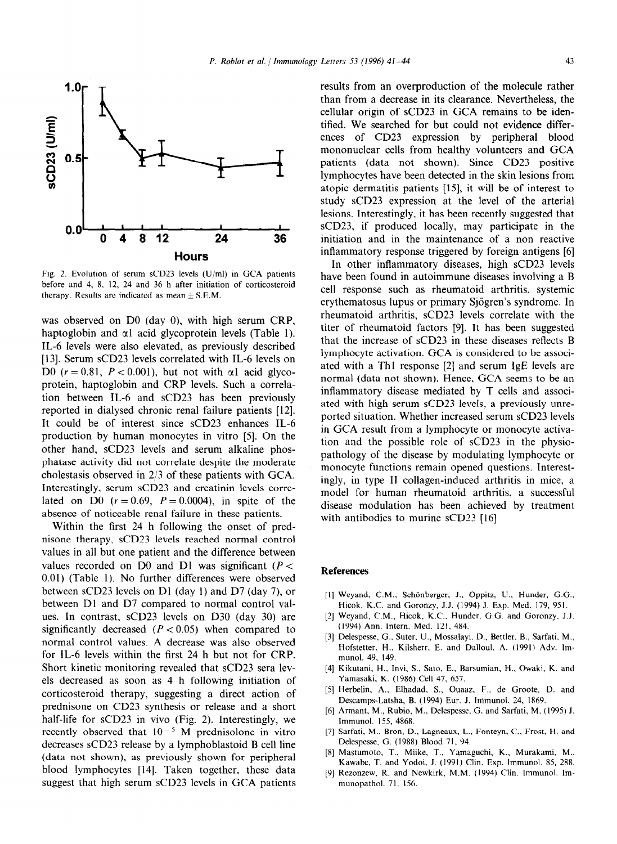

Fig. 2. Evolution of serum sCD23 levels (U/ml) in GCA patients before and 4, 8. 12, 24 and 36 h after initiation of corticosteroid therapy. Results are indicated as mean  $\pm$  S.E.M.

was observed on DO (day 0), with high serum CRP, haptoglobin and  $\alpha$ 1 acid glycoprotein levels (Table 1). IL-6 levels were also elevated, as previously described [13]. Serum sCD23 levels correlated with IL-6 levels on D0  $(r = 0.81, P < 0.001)$ , but not with  $\alpha$ l acid glycoprotein, haptoglobin and CRP levels. Such a correlation between IL-6 and sCD23 has been previously reported in dialysed chronic renal failure patients [12]. It could be of interest since sCD23 enhances IL-6 production by human monocytes in vitro [5]. On the other hand, sCD23 levels and serum alkaline phosphatase activity did not correlate despite the moderate cholestasis observed in 2/3 of these patients with GCA. Interestingly, serum sCD23 and creatinin levels correlated on D0  $(r = 0.69, P = 0.0004)$ , in spite of the absence of noticeable renal failure in these patients.

Within the first 24 h following the onset of prednisone therapy, sCD23 levels reached normal control values in all but one patient and the difference between values recorded on D0 and D1 was significant  $(P <$ 0.01) (Table 1). No further differences were observed between sCD23 levels on D1 (day 1) and D7 (day 7), or between Dl and D7 compared to normal control values. In contrast, sCD23 levels on D30 (day 30) are significantly decreased  $(P < 0.05)$  when compared to normal control values. A decrease was also observed for IL-6 levels within the first 24 h but not for CRP. Short kinetic monitoring revealed that sCD23 sera levels decreased as soon as 4 h following initiation of corticosteroid therapy, suggesting a direct action of prednisone on CD23 synthesis or release and a short half-life for sCD23 in vivo (Fig. 2). Interestingly, we recently observed that  $10^{-5}$  M prednisolone in vitro decreases sCD23 release by a lymphoblastoid B cell line (data not shown), as previously shown for peripheral blood lymphocytes [14]. Taken together, these data suggest that high serum sCD23 levels in GCA patients

results from an overproduction of the molecule rather than from a decrease in its clearance. Nevertheless, the cellular origin of sCD23 in GCA remains to be identified. We searched for but could not evidence differences of CD23 expression by peripheral blood mononuclear cells from healthy volunteers and GCA patients (data not shown). Since CD23 positive lymphocytes have been detected in the skin lesions from atopic dermatitis patients [15], it will be of interest to study sCD23 expression at the level of the arterial lesions. Interestingly, it has been recently suggested that sCD23, if produced locally, may participate in the initiation and in the maintenance of a non reactive inflammatory response triggered by foreign antigens [6]

In other inflammatory diseases, high sCD23 levels have been found in autoimmune diseases involving a B cell response such as rheumatoid arthritis. systemic erythematosus lupus or primary Sjögren's syndrome. In rheumatoid arthritis, sCD23 levels correlate with the titer of rheumatoid factors [9]. It has been suggested that the increase of sCD23 in these diseases reflects B lymphocyte activation. GCA is considered to be associated with a Thl response [2] and serum IgE levels are normal (data not shown). Hence, GCA seems to be an inflammatory disease mediated by T cells and associated with high serum sCD23 levels, a previously unreported situation. Whether increased serum sCD23 levels in GCA result from a lymphocyte or monocyte activation and the possible role of sCD23 in the physiopathology of the disease by modulating lymphocyte or monocyte functions remain opened questions. Interestingly, in type II collagen-induced arthritis in mice, a model for human rheumatoid arthritis, a successful disease modulation has been achieved by treatment with antibodies to murine sCD23 [16]

### **References**

- [1] Weyand, C.M., Schönberger, J., Oppitz, U., Hunder, G.G. Hicok. K.C. and Goronzy, J.J. (1994) J. Exp. Med. 179, 951.
- 121 Weyand, C.M., Hicok. K.C.. Hunder. G.G. and Goronzy. J.J. (1994) Ann. Intern. Med. 121. 484.
- 131 Delespesse, G.. Suter. U., Mossalayi. D., Bettler. B., Sarfati. M., Hofstetter, H., Kilsherr, E. and Dalloul. A. (1991) Adv. Immunol. 49, 149.
- 141 Kikutani, H.. Invi, S., Sato, E., Barsumian, H.. Owaki, K. and Yamasaki, K. (1986) Cell 47, 657.
- 151 Herbelin, A., Elhadad. S., Ouaaz. F.. de Groote, D. and Descamps-Latsha, B. (1994) Eur. J. Immunol. 24, 1869.
- 161 Armant, M., Rubio, M., Delespesse, G. and Sarfati, M. ( 1995) J. Immunol. 155, 4868.
- [71 Sarfati, M.. Bron, D., Lagneaux, L., Fonteyn. C., Frost, H. and Delespesse, G. (1988) Blood 71, 94.
- $[8]$ Mastumoto, T., Miike. T., Yamaguchi. K., Murakami. M., Kawabe, T. and Yodoi, J. (1991) Clin. Exp. Immunol. 85, 288.
- [91 Rezonzew. R. and Newkirk, M.M. (1994) Clin. Immunol. Immunopathol. 71, 156.